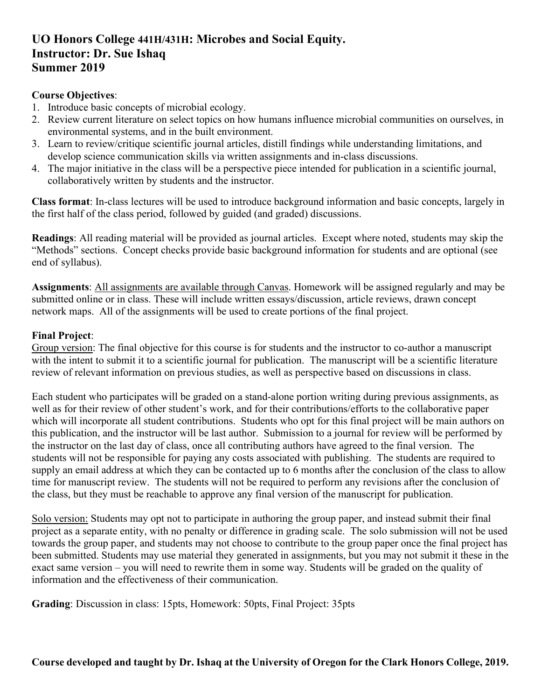### **Course Objectives**:

- 1. Introduce basic concepts of microbial ecology.
- 2. Review current literature on select topics on how humans influence microbial communities on ourselves, in environmental systems, and in the built environment.
- 3. Learn to review/critique scientific journal articles, distill findings while understanding limitations, and develop science communication skills via written assignments and in-class discussions.
- 4. The major initiative in the class will be a perspective piece intended for publication in a scientific journal, collaboratively written by students and the instructor.

**Class format**: In-class lectures will be used to introduce background information and basic concepts, largely in the first half of the class period, followed by guided (and graded) discussions.

**Readings**: All reading material will be provided as journal articles. Except where noted, students may skip the "Methods" sections. Concept checks provide basic background information for students and are optional (see end of syllabus).

**Assignments**: All assignments are available through Canvas. Homework will be assigned regularly and may be submitted online or in class. These will include written essays/discussion, article reviews, drawn concept network maps. All of the assignments will be used to create portions of the final project.

### **Final Project**:

Group version: The final objective for this course is for students and the instructor to co-author a manuscript with the intent to submit it to a scientific journal for publication. The manuscript will be a scientific literature review of relevant information on previous studies, as well as perspective based on discussions in class.

Each student who participates will be graded on a stand-alone portion writing during previous assignments, as well as for their review of other student's work, and for their contributions/efforts to the collaborative paper which will incorporate all student contributions. Students who opt for this final project will be main authors on this publication, and the instructor will be last author. Submission to a journal for review will be performed by the instructor on the last day of class, once all contributing authors have agreed to the final version. The students will not be responsible for paying any costs associated with publishing. The students are required to supply an email address at which they can be contacted up to 6 months after the conclusion of the class to allow time for manuscript review. The students will not be required to perform any revisions after the conclusion of the class, but they must be reachable to approve any final version of the manuscript for publication.

Solo version: Students may opt not to participate in authoring the group paper, and instead submit their final project as a separate entity, with no penalty or difference in grading scale. The solo submission will not be used towards the group paper, and students may not choose to contribute to the group paper once the final project has been submitted. Students may use material they generated in assignments, but you may not submit it these in the exact same version – you will need to rewrite them in some way. Students will be graded on the quality of information and the effectiveness of their communication.

**Grading**: Discussion in class: 15pts, Homework: 50pts, Final Project: 35pts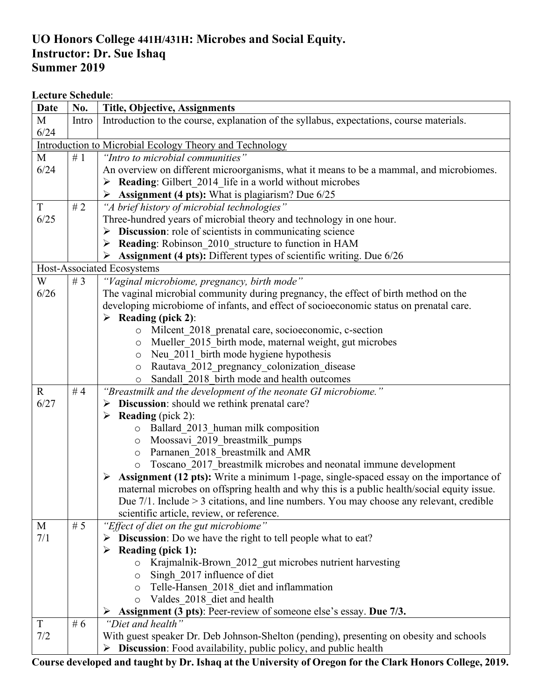#### **Lecture Schedule**:

| <b>Date</b> | No.   | <b>Title, Objective, Assignments</b>                                                         |
|-------------|-------|----------------------------------------------------------------------------------------------|
| M           | Intro | Introduction to the course, explanation of the syllabus, expectations, course materials.     |
| 6/24        |       |                                                                                              |
|             |       | Introduction to Microbial Ecology Theory and Technology                                      |
| M           | # $1$ | "Intro to microbial communities"                                                             |
| 6/24        |       | An overview on different microorganisms, what it means to be a mammal, and microbiomes.      |
|             |       | $\triangleright$ Reading: Gilbert 2014 life in a world without microbes                      |
|             |       | $\triangleright$ Assignment (4 pts): What is plagiarism? Due 6/25                            |
| T           | #2    | "A brief history of microbial technologies"                                                  |
| 6/25        |       | Three-hundred years of microbial theory and technology in one hour.                          |
|             |       | Discussion: role of scientists in communicating science                                      |
|             |       | $\triangleright$ Reading: Robinson 2010 structure to function in HAM                         |
|             |       | $\triangleright$ Assignment (4 pts): Different types of scientific writing. Due 6/26         |
|             |       | Host-Associated Ecosystems                                                                   |
| W           | # $3$ | "Vaginal microbiome, pregnancy, birth mode"                                                  |
| 6/26        |       | The vaginal microbial community during pregnancy, the effect of birth method on the          |
|             |       | developing microbiome of infants, and effect of socioeconomic status on prenatal care.       |
|             |       | Example $\blacktriangleright$ Reading (pick 2):                                              |
|             |       | Milcent 2018 prenatal care, socioeconomic, c-section<br>$\circ$                              |
|             |       | Mueller 2015 birth mode, maternal weight, gut microbes<br>$\circ$                            |
|             |       | Neu_2011_birth mode hygiene hypothesis<br>$\circ$                                            |
|             |       | Rautava 2012 pregnancy colonization disease<br>$\circ$                                       |
|             |       | Sandall 2018 birth mode and health outcomes                                                  |
| $\mathbf R$ | #4    | "Breastmilk and the development of the neonate GI microbiome."                               |
| 6/27        |       | Discussion: should we rethink prenatal care?                                                 |
|             |       | $\triangleright$ Reading (pick 2):                                                           |
|             |       | Ballard 2013 human milk composition                                                          |
|             |       | Moossavi_2019_breastmilk_pumps<br>$\circ$                                                    |
|             |       | Parnanen 2018 breastmilk and AMR<br>$\circ$                                                  |
|             |       | Toscano 2017 breastmilk microbes and neonatal immune development<br>$\circ$                  |
|             |       | Assignment (12 pts): Write a minimum 1-page, single-spaced essay on the importance of        |
|             |       | maternal microbes on offspring health and why this is a public health/social equity issue.   |
|             |       | Due $7/1$ . Include $> 3$ citations, and line numbers. You may choose any relevant, credible |
|             |       | scientific article, review, or reference.                                                    |
| M           | # $5$ | "Effect of diet on the gut microbiome"                                                       |
| 7/1         |       | <b>Discussion:</b> Do we have the right to tell people what to eat?<br>➤                     |
|             |       | Reading (pick 1):<br>➤                                                                       |
|             |       | Krajmalnik-Brown 2012 gut microbes nutrient harvesting<br>$\circ$                            |
|             |       | Singh 2017 influence of diet<br>O                                                            |
|             |       | Telle-Hansen_2018_diet and inflammation<br>O                                                 |
|             |       | Valdes 2018 diet and health<br>$\circ$                                                       |
|             |       | Assignment (3 pts): Peer-review of someone else's essay. Due 7/3.                            |
| $\mathbf T$ | # $6$ | "Diet and health"                                                                            |
| 7/2         |       | With guest speaker Dr. Deb Johnson-Shelton (pending), presenting on obesity and schools      |
|             |       | <b>Discussion:</b> Food availability, public policy, and public health<br>⋗                  |

**Course developed and taught by Dr. Ishaq at the University of Oregon for the Clark Honors College, 2019.**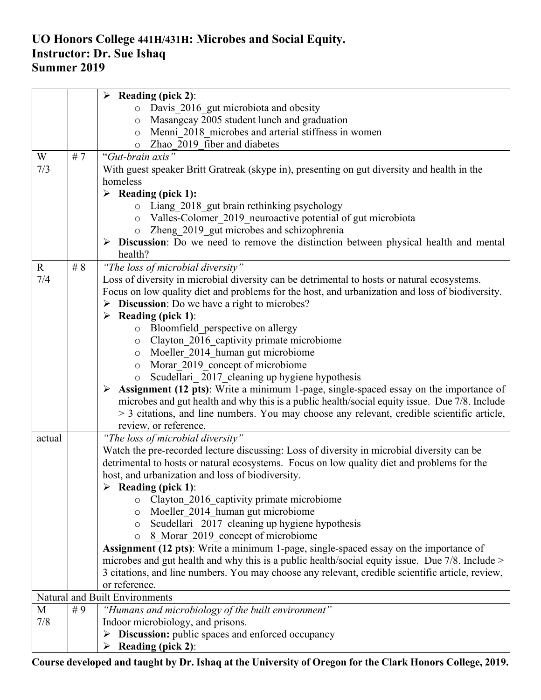|             |       | $\triangleright$ Reading (pick 2):                                                                     |
|-------------|-------|--------------------------------------------------------------------------------------------------------|
|             |       | Davis 2016 gut microbiota and obesity                                                                  |
|             |       | Masangcay 2005 student lunch and graduation<br>$\circ$                                                 |
|             |       | Menni_2018_microbes and arterial stiffness in women<br>$\circ$                                         |
|             |       | Zhao 2019 fiber and diabetes                                                                           |
| W           | #7    | "Gut-brain axis"                                                                                       |
| 7/3         |       | With guest speaker Britt Gratreak (skype in), presenting on gut diversity and health in the            |
|             |       | homeless                                                                                               |
|             |       | $\triangleright$ Reading (pick 1):                                                                     |
|             |       | o Liang 2018 gut brain rethinking psychology                                                           |
|             |       | Valles-Colomer 2019 neuroactive potential of gut microbiota<br>$\circ$                                 |
|             |       | Zheng_2019_gut microbes and schizophrenia<br>$\circ$                                                   |
|             |       | $\triangleright$ Discussion: Do we need to remove the distinction between physical health and mental   |
|             |       | health?                                                                                                |
| $\mathbf R$ | # $8$ | "The loss of microbial diversity"                                                                      |
| 7/4         |       | Loss of diversity in microbial diversity can be detrimental to hosts or natural ecosystems.            |
|             |       | Focus on low quality diet and problems for the host, and urbanization and loss of biodiversity.        |
|             |       | $\triangleright$ Discussion: Do we have a right to microbes?                                           |
|             |       | $\triangleright$ Reading (pick 1):                                                                     |
|             |       | o Bloomfield perspective on allergy                                                                    |
|             |       | Clayton_2016_captivity primate microbiome<br>$\circ$                                                   |
|             |       | Moeller_2014_human gut microbiome<br>$\circ$                                                           |
|             |       | Morar 2019 concept of microbiome<br>$\circ$                                                            |
|             |       | Scudellari_2017_cleaning up hygiene hypothesis<br>$\circ$                                              |
|             |       | $\triangleright$ Assignment (12 pts): Write a minimum 1-page, single-spaced essay on the importance of |
|             |       | microbes and gut health and why this is a public health/social equity issue. Due 7/8. Include          |
|             |       | > 3 citations, and line numbers. You may choose any relevant, credible scientific article,             |
|             |       | review, or reference.                                                                                  |
| actual      |       | "The loss of microbial diversity"                                                                      |
|             |       | Watch the pre-recorded lecture discussing: Loss of diversity in microbial diversity can be             |
|             |       | detrimental to hosts or natural ecosystems. Focus on low quality diet and problems for the             |
|             |       | host, and urbanization and loss of biodiversity.                                                       |
|             |       | $\triangleright$ Reading (pick 1):                                                                     |
|             |       | Clayton 2016 captivity primate microbiome                                                              |
|             |       | Moeller_2014_human gut microbiome<br>$\circ$                                                           |
|             |       | Scudellari_2017_cleaning up hygiene hypothesis<br>$\circ$                                              |
|             |       | 8 Morar 2019 concept of microbiome<br>$\circ$                                                          |
|             |       | Assignment (12 pts): Write a minimum 1-page, single-spaced essay on the importance of                  |
|             |       | microbes and gut health and why this is a public health/social equity issue. Due 7/8. Include >        |
|             |       | 3 citations, and line numbers. You may choose any relevant, credible scientific article, review,       |
|             |       | or reference.                                                                                          |
|             |       | Natural and Built Environments                                                                         |
| M           | #9    | "Humans and microbiology of the built environment"                                                     |
| 7/8         |       | Indoor microbiology, and prisons.                                                                      |
|             |       | Discussion: public spaces and enforced occupancy<br>➤                                                  |
|             |       | <b>Reading (pick 2):</b><br>➤                                                                          |
|             |       |                                                                                                        |

**Course developed and taught by Dr. Ishaq at the University of Oregon for the Clark Honors College, 2019.**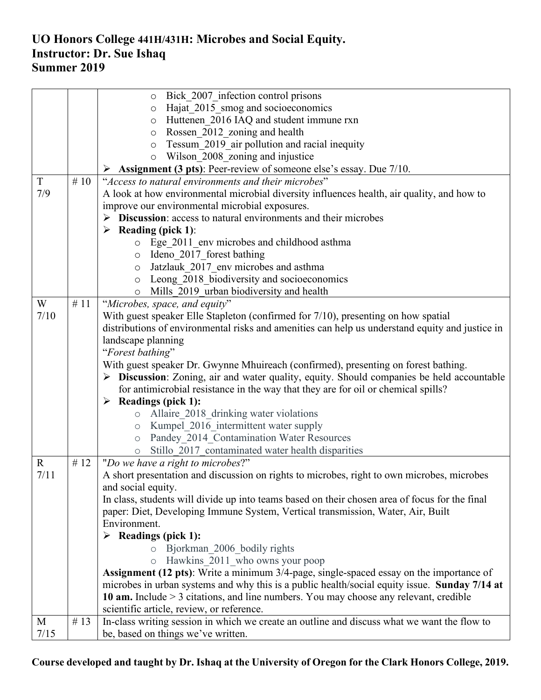|             |     | Bick_2007_infection control prisons<br>$\circ$                                                  |
|-------------|-----|-------------------------------------------------------------------------------------------------|
|             |     | Hajat 2015 smog and socioeconomics<br>$\circ$                                                   |
|             |     | Huttenen_2016 IAQ and student immune rxn<br>$\circ$                                             |
|             |     | Rossen 2012 zoning and health<br>$\circ$                                                        |
|             |     | Tessum 2019 air pollution and racial inequity<br>$\circ$                                        |
|             |     | Wilson 2008 zoning and injustice<br>$\circ$                                                     |
|             |     | $\triangleright$ Assignment (3 pts): Peer-review of someone else's essay. Due 7/10.             |
| T           | #10 | "Access to natural environments and their microbes"                                             |
| 7/9         |     | A look at how environmental microbial diversity influences health, air quality, and how to      |
|             |     | improve our environmental microbial exposures.                                                  |
|             |     | Discussion: access to natural environments and their microbes<br>$\blacktriangleright$          |
|             |     | $\triangleright$ Reading (pick 1):                                                              |
|             |     | o Ege 2011 env microbes and childhood asthma                                                    |
|             |     | Ideno_2017_forest bathing<br>$\circ$                                                            |
|             |     | Jatzlauk_2017_env microbes and asthma<br>$\circ$                                                |
|             |     | Leong 2018 biodiversity and socioeconomics<br>$\circ$                                           |
|             |     | Mills 2019 urban biodiversity and health                                                        |
| W           | #11 | "Microbes, space, and equity"                                                                   |
| 7/10        |     | With guest speaker Elle Stapleton (confirmed for 7/10), presenting on how spatial               |
|             |     | distributions of environmental risks and amenities can help us understand equity and justice in |
|             |     | landscape planning                                                                              |
|             |     | "Forest bathing"                                                                                |
|             |     | With guest speaker Dr. Gwynne Mhuireach (confirmed), presenting on forest bathing.              |
|             |     | > Discussion: Zoning, air and water quality, equity. Should companies be held accountable       |
|             |     | for antimicrobial resistance in the way that they are for oil or chemical spills?               |
|             |     | $\triangleright$ Readings (pick 1):                                                             |
|             |     | Allaire 2018 drinking water violations<br>$\circ$                                               |
|             |     | Kumpel 2016 intermittent water supply<br>$\circ$                                                |
|             |     | Pandey_2014_Contamination Water Resources<br>$\circlearrowright$                                |
|             |     | Stillo 2017 contaminated water health disparities<br>$\circ$                                    |
| $\mathbf R$ | #12 | "Do we have a right to microbes?"                                                               |
| 7/11        |     | A short presentation and discussion on rights to microbes, right to own microbes, microbes      |
|             |     | and social equity.                                                                              |
|             |     | In class, students will divide up into teams based on their chosen area of focus for the final  |
|             |     | paper: Diet, Developing Immune System, Vertical transmission, Water, Air, Built                 |
|             |     | Environment.                                                                                    |
|             |     | <b>Readings (pick 1):</b><br>➤                                                                  |
|             |     | o Bjorkman 2006 bodily rights                                                                   |
|             |     | Hawkins 2011 who owns your poop<br>$\circ$                                                      |
|             |     | Assignment (12 pts): Write a minimum 3/4-page, single-spaced essay on the importance of         |
|             |     | microbes in urban systems and why this is a public health/social equity issue. Sunday 7/14 at   |
|             |     | 10 am. Include > 3 citations, and line numbers. You may choose any relevant, credible           |
|             |     | scientific article, review, or reference.                                                       |
| M           | #13 | In-class writing session in which we create an outline and discuss what we want the flow to     |
| 7/15        |     | be, based on things we've written.                                                              |